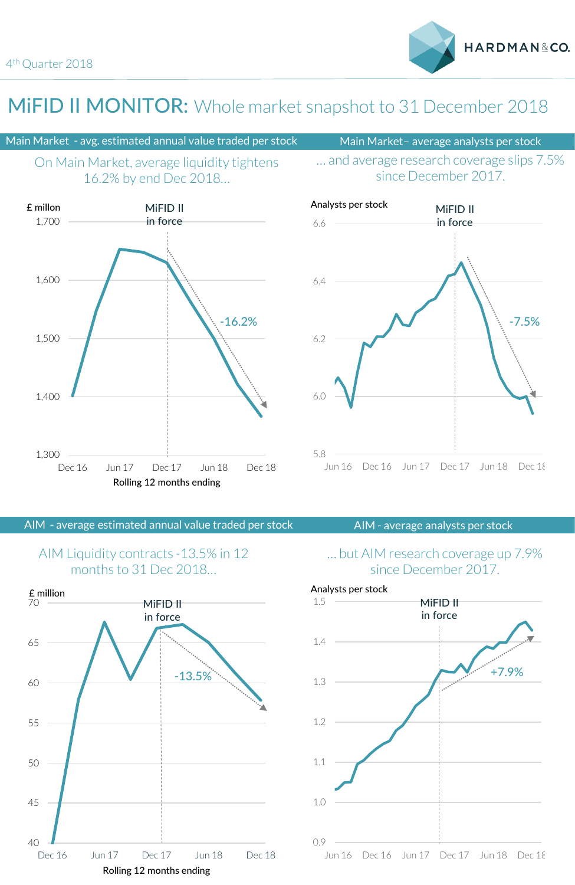1,300

1,400

1,500

1,600

1,700

£ millon

## MIFID II MONITOR: Whole market snapshot to 31 December 2018

-16.2%

### Main Market - avg. estimated annual value traded per stock Main Market- average analysts per stock



MiFID II in force

HARDMAN&CO.

### … and average research coverage slips 7.5% since December 2017.



AIM - average estimated annual value traded per stock AIM - average analysts per stock

Dec 16 Jun 17 Dec 17 Jun 18 Dec 18

Rolling 12 months ending

### AIM Liquidity contracts -13.5% in 12 months to 31 Dec 2018…



### … but AIM research coverage up 7.9% since December 2017.

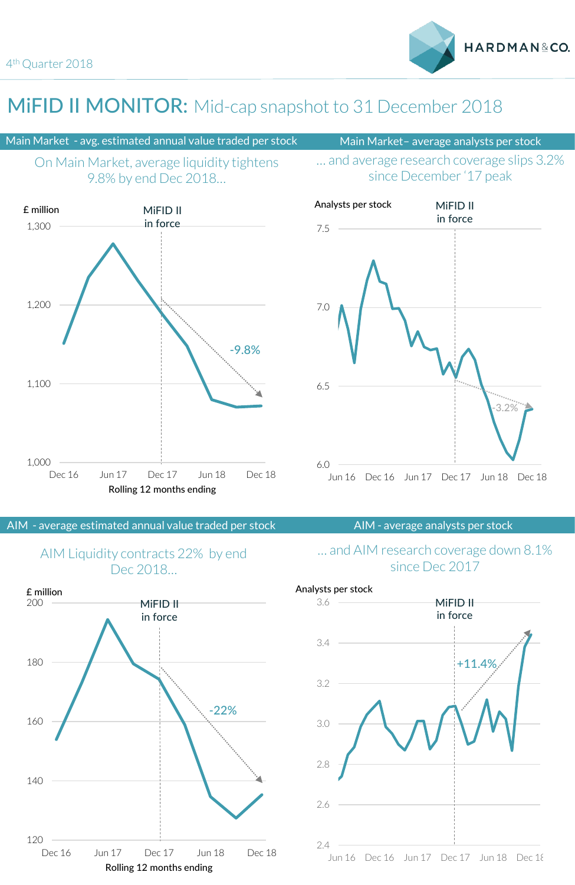## MIFID II MONITOR: Mid-cap snapshot to 31 December 2018

### Main Market - avg. estimated annual value traded per stock Main Market- average analysts per stock





### since December '17 peak





AIM - average estimated annual value traded per stock AIM - average analysts per stock

### AIM Liquidity contracts 22% by end Dec 2018



### … and AIM research coverage down 8.1% since Dec 2017

Jun 16 Dec 16 Jun 17 Dec 17 Jun 18 Dec 18 2.4 2.6 2.8 3.0 3.2 3.4 3.6 +11.4% MiFID II in force Analysts per stock

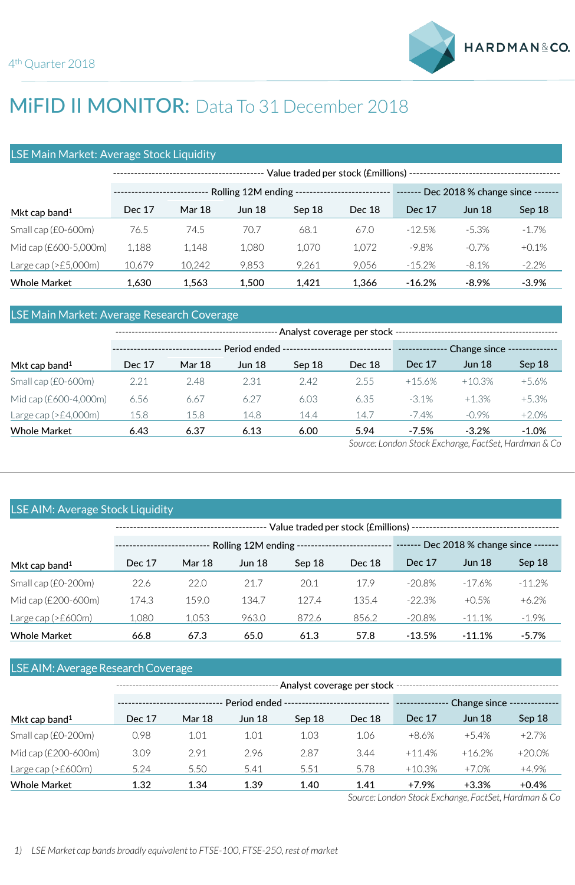# MIFID II MONITOR: Data To 31 December 2018

### LSE Main Market: Average Stock Liquidity

|                           | Value traded per stock (£millions) -- |               |               |        |        |                                 |               |          |
|---------------------------|---------------------------------------|---------------|---------------|--------|--------|---------------------------------|---------------|----------|
|                           | Rolling 12M ending -                  |               |               |        |        | Dec 2018 % change since ------- |               |          |
| Mkt cap band <sup>1</sup> | Dec 17                                | <b>Mar 18</b> | <b>Jun 18</b> | Sep 18 | Dec 18 | Dec 17                          | <b>Jun 18</b> | Sep 18   |
| Small cap $(£0-600m)$     | 76.5                                  | 74.5          | 70.7          | 68.1   | 67.0   | $-12.5%$                        | $-5.3%$       | $-1.7%$  |
| Mid cap $(E600-5,000m)$   | 1,188                                 | 1,148         | 1.080         | 1.070  | 1.072  | $-9.8\%$                        | $-0.7\%$      | $+0.1%$  |
| Large cap ( $>E5,000$ m)  | 10.679                                | 10.242        | 9,853         | 9,261  | 9,056  | $-15.2%$                        | $-8.1%$       | $-2.2\%$ |
| <b>Whole Market</b>       | 1.630                                 | 1.563         | 1.500         | 1.421  | 1.366  | $-16.2%$                        | $-8.9%$       | $-3.9%$  |

### LSE Main Market: Average Research Coverage

|                           |        | Period ended ------------------------------- |               |        |        |                                               | -- Change since |          |  |  |
|---------------------------|--------|----------------------------------------------|---------------|--------|--------|-----------------------------------------------|-----------------|----------|--|--|
| Mkt cap band <sup>1</sup> | Dec 17 | <b>Mar 18</b>                                | <b>Jun 18</b> | Sep 18 | Dec 18 | Dec 17                                        | <b>Jun 18</b>   | Sep 18   |  |  |
| Small cap (£0-600m)       | 2.21   | 2.48                                         | 2.31          | 2.42   | 2.55   | $+15.6%$                                      | $+10.3%$        | $+5.6%$  |  |  |
| Mid cap (£600-4,000m)     | 6.56   | 6.67                                         | 6.27          | 6.03   | 6.35   | $-3.1\%$                                      | $+1.3%$         | $+5.3%$  |  |  |
| Large cap ( $>£4,000$ m)  | 15.8   | 15.8                                         | 14.8          | 14.4   | 14.7   | $-7.4\%$                                      | $-0.9%$         | $+2.0%$  |  |  |
| <b>Whole Market</b>       | 6.43   | 6.37                                         | 6.13          | 6.00   | 5.94   | $-7.5%$<br>$\sim$ $\sim$ $\sim$ $\sim$ $\sim$ | $-3.2%$         | $-1.0\%$ |  |  |

*Source: London Stock Exchange, FactSet, Hardman & Co*

### LSE AIM: Average Stock Liquidity

|                           |        | Rolling 12M ending |               |        |        | Dec 2018 % change since ------- |               |          |  |
|---------------------------|--------|--------------------|---------------|--------|--------|---------------------------------|---------------|----------|--|
| Mkt cap band <sup>1</sup> | Dec 17 | <b>Mar 18</b>      | <b>Jun 18</b> | Sep 18 | Dec 18 | Dec 17                          | <b>Jun 18</b> | Sep 18   |  |
| Small cap $(£0-200m)$     | 22.6   | 22.0               | 21.7          | 20.1   | 17.9   | $-20.8%$                        | $-17.6%$      | $-11.2%$ |  |
| Mid cap (£200-600m)       | 174.3  | 159.0              | 134.7         | 127.4  | 135.4  | $-22.3%$                        | $+0.5%$       | $+6.2%$  |  |
| Large cap ( $>E600m$ )    | 1.080  | 1,053              | 963.0         | 872.6  | 856.2  | $-20.8%$                        | $-11.1%$      | $-1.9\%$ |  |
| <b>Whole Market</b>       | 66.8   | 67.3               | 65.0          | 61.3   | 57.8   | $-13.5%$                        | $-11.1%$      | $-5.7%$  |  |

### LSE AIM: Average Research Coverage

| Mkt cap band $1$       |        |               | Period ended ------------------------------ | Change since |        |          |               |          |  |
|------------------------|--------|---------------|---------------------------------------------|--------------|--------|----------|---------------|----------|--|
|                        | Dec 17 | <b>Mar 18</b> | <b>Jun 18</b>                               | Sep 18       | Dec 18 | Dec 17   | <b>Jun 18</b> | Sep 18   |  |
| Small cap (£0-200m)    | 0.98   | 1.01          | 1.01                                        | 1.03         | 1.06   | +8.6%    | $+5.4%$       | $+2.7%$  |  |
| Mid cap (£200-600m)    | 3.09   | 2.91          | 2.96                                        | 2.87         | 3.44   | $+11.4%$ | $+16.2%$      | $+20.0%$ |  |
| Large cap ( $>E600m$ ) | 5.24   | 5.50          | 5.41                                        | 5.51         | 5.78   | $+10.3%$ | $+7.0%$       | $+4.9%$  |  |
| <b>Whole Market</b>    | 1.32   | 1.34          | 1.39                                        | 1.40         | 1.41   | $+7.9%$  | $+3.3%$       | $+0.4%$  |  |

*Source: London Stock Exchange, FactSet, Hardman & Co*